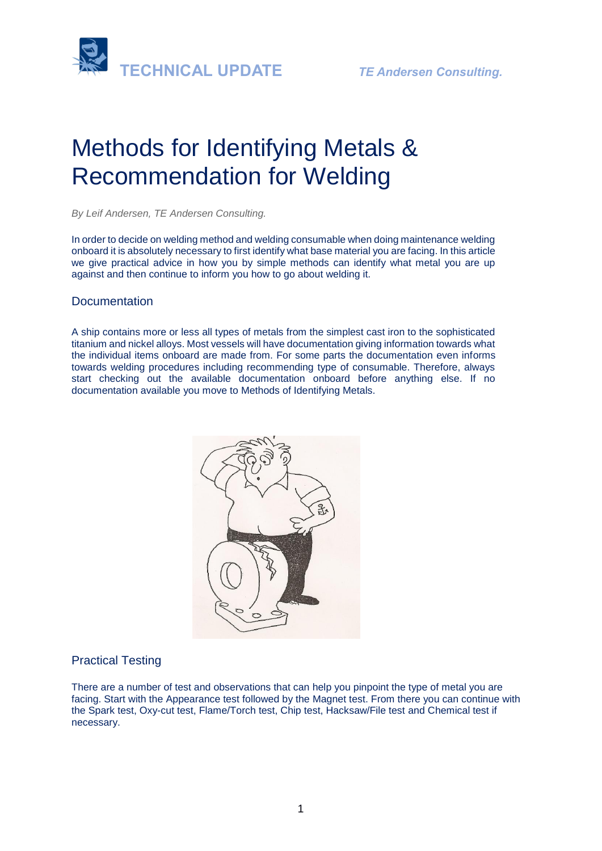

# Methods for Identifying Metals & Recommendation for Welding

*By Leif Andersen, TE Andersen Consulting.* 

In order to decide on welding method and welding consumable when doing maintenance welding onboard it is absolutely necessary to first identify what base material you are facing. In this article we give practical advice in how you by simple methods can identify what metal you are up against and then continue to inform you how to go about welding it.

### Documentation

A ship contains more or less all types of metals from the simplest cast iron to the sophisticated titanium and nickel alloys. Most vessels will have documentation giving information towards what the individual items onboard are made from. For some parts the documentation even informs towards welding procedures including recommending type of consumable. Therefore, always start checking out the available documentation onboard before anything else. If no documentation available you move to Methods of Identifying Metals.



### Practical Testing

There are a number of test and observations that can help you pinpoint the type of metal you are facing. Start with the Appearance test followed by the Magnet test. From there you can continue with the Spark test, Oxy-cut test, Flame/Torch test, Chip test, Hacksaw/File test and Chemical test if necessary.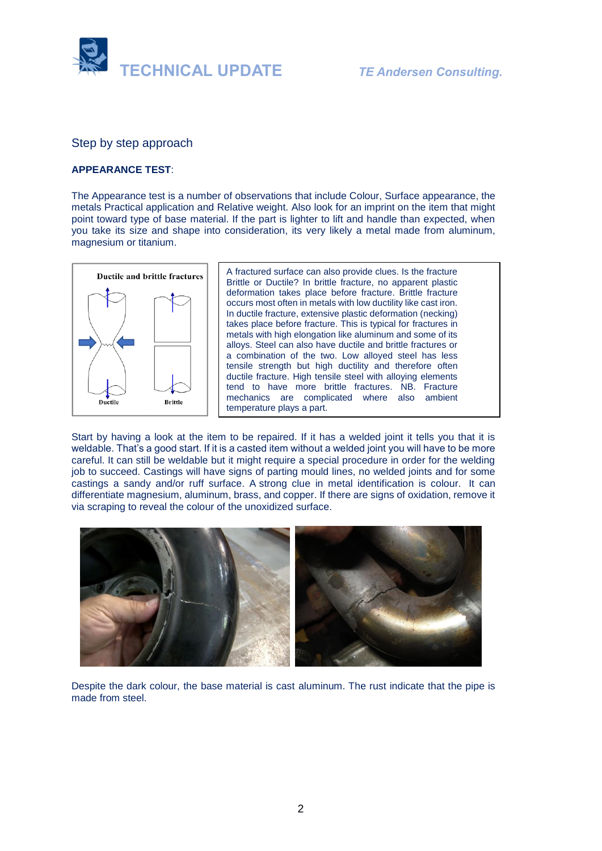

Step by step approach

### **APPEARANCE TEST**:

The Appearance test is a number of observations that include Colour, Surface appearance, the metals Practical application and Relative weight. Also look for an imprint on the item that might point toward type of base material. If the part is lighter to lift and handle than expected, when you take its size and shape into consideration, its very likely a metal made from aluminum, magnesium or titanium.



A fractured surface can also provide clues. Is the fracture Brittle or Ductile? In [brittle](https://en.wikipedia.org/wiki/Brittleness) fracture, no apparent [plastic](https://en.wikipedia.org/wiki/Plasticity_(physics))  [deformation](https://en.wikipedia.org/wiki/Plasticity_(physics)) takes place before fracture. Brittle fracture occurs most often in metals with low ductility like cast iron. In [ductile](https://en.wikipedia.org/wiki/Ductility) fracture, extensive plastic deformation [\(necking\)](https://en.wikipedia.org/wiki/Necking_(engineering)) takes place before fracture. This is typical for fractures in metals with high elongation like aluminum and some of its alloys. Steel can also have ductile and brittle fractures or a combination of the two. Low alloyed steel has less tensile strength but high ductility and therefore often ductile fracture. High tensile steel with alloying elements tend to have more brittle fractures. NB. Fracture mechanics are complicated where also ambient temperature plays a part.

Start by having a look at the item to be repaired. If it has a welded joint it tells you that it is weldable. That's a good start. If it is a casted item without a welded joint you will have to be more careful. It can still be weldable but it might require a special procedure in order for the welding job to succeed. Castings will have signs of parting mould lines, no welded joints and for some castings a sandy and/or ruff surface. A strong clue in metal identification is colour. It can differentiate magnesium, aluminum, brass, and copper. If there are signs of oxidation, remove it via scraping to reveal the colour of the unoxidized surface.



Despite the dark colour, the base material is cast aluminum. The rust indicate that the pipe is made from steel.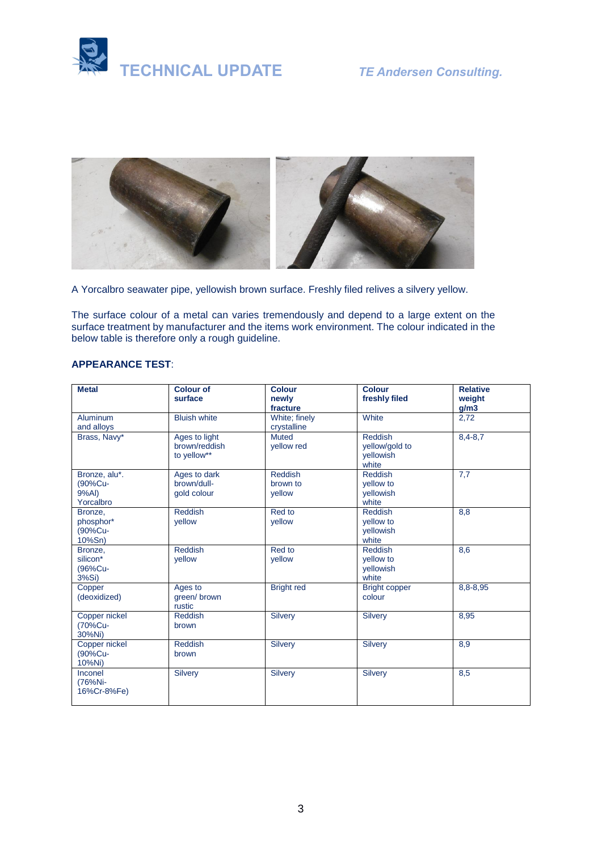



A Yorcalbro seawater pipe, yellowish brown surface. Freshly filed relives a silvery yellow.

The surface colour of a metal can varies tremendously and depend to a large extent on the surface treatment by manufacturer and the items work environment. The colour indicated in the below table is therefore only a rough guideline.

### **APPEARANCE TEST**:

| <b>Metal</b>                                   | <b>Colour of</b>                              | <b>Colour</b>                        | <b>Colour</b>                                          | <b>Relative</b> |
|------------------------------------------------|-----------------------------------------------|--------------------------------------|--------------------------------------------------------|-----------------|
|                                                | surface                                       | newly<br>fracture                    | freshly filed                                          | weight<br>g/m3  |
| <b>Aluminum</b><br>and alloys                  | <b>Bluish white</b>                           | White; finely<br>crystalline         | White                                                  | 2,72            |
| Brass, Navy*                                   | Ages to light<br>brown/reddish<br>to yellow** | <b>Muted</b><br>yellow red           | <b>Reddish</b><br>yellow/gold to<br>yellowish<br>white | $8,4 - 8,7$     |
| Bronze, alu*.<br>(90%Cu-<br>9%Al)<br>Yorcalbro | Ages to dark<br>brown/dull-<br>gold colour    | <b>Reddish</b><br>brown to<br>vellow | <b>Reddish</b><br>yellow to<br>vellowish<br>white      | 7,7             |
| Bronze,<br>phosphor*<br>(90%Cu-<br>10%Sn)      | <b>Reddish</b><br>vellow                      | Red to<br>vellow                     | Reddish<br>yellow to<br>yellowish<br>white             | 8,8             |
| Bronze,<br>silicon*<br>(96%Cu-<br>3%Si)        | <b>Reddish</b><br>vellow                      | Red to<br>vellow                     | <b>Reddish</b><br>yellow to<br>vellowish<br>white      | 8,6             |
| Copper<br>(deoxidized)                         | Ages to<br>green/brown<br>rustic              | <b>Bright red</b>                    | <b>Bright copper</b><br>colour                         | 8,8-8,95        |
| Copper nickel<br>(70%Cu-<br>30%Ni)             | <b>Reddish</b><br>brown                       | <b>Silvery</b>                       | <b>Silvery</b>                                         | 8,95            |
| Copper nickel<br>(90%Cu-<br>10%Ni)             | <b>Reddish</b><br>brown                       | <b>Silvery</b>                       | <b>Silvery</b>                                         | 8,9             |
| Inconel<br>(76%Ni-<br>16%Cr-8%Fe)              | <b>Silvery</b>                                | <b>Silvery</b>                       | <b>Silvery</b>                                         | 8,5             |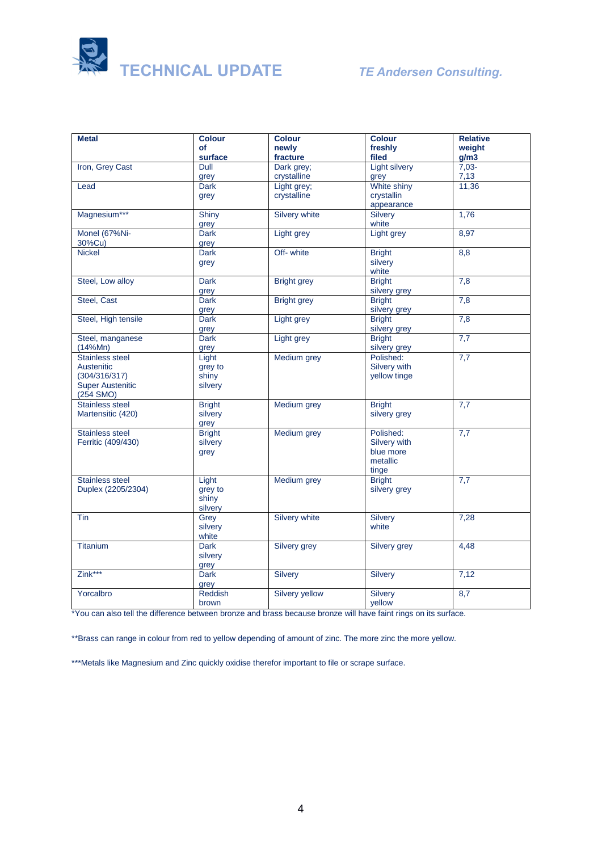

| <b>Metal</b>            | <b>Colour</b>   | <b>Colour</b>      | <b>Colour</b>        | <b>Relative</b> |
|-------------------------|-----------------|--------------------|----------------------|-----------------|
|                         | of              | newly              | freshly              | weight          |
|                         | surface         | fracture           | filed                | g/m3            |
| Iron, Grey Cast         | Dull            | Dark grey;         | <b>Light silvery</b> | $7,03-$         |
|                         | grey            | crystalline        | grey                 | 7,13            |
| Lead                    | <b>Dark</b>     | Light grey;        | White shiny          | 11,36           |
|                         | grey            | crystalline        | crystallin           |                 |
|                         |                 |                    | appearance           |                 |
| Magnesium***            | Shiny           | Silvery white      | Silvery              | 1,76            |
|                         | grey            |                    | white                |                 |
| Monel (67%Ni-           | <b>Dark</b>     | Light grey         | Light grey           | 8,97            |
| 30%Cu)                  | grey            |                    |                      |                 |
| <b>Nickel</b>           | <b>Dark</b>     | Off- white         | <b>Bright</b>        | 8,8             |
|                         | grey            |                    | silvery              |                 |
|                         |                 |                    | white                |                 |
| Steel, Low alloy        | <b>Dark</b>     | <b>Bright grey</b> | <b>Bright</b>        | 7,8             |
|                         | grey            |                    | silvery grey         |                 |
| Steel, Cast             | <b>Dark</b>     | <b>Bright grey</b> | <b>Bright</b>        | 7,8             |
|                         | grey            |                    | silvery grey         |                 |
| Steel, High tensile     | Dark            | Light grey         | <b>Bright</b>        | 7,8             |
|                         | grey            |                    | silvery grey         |                 |
| Steel, manganese        | <b>Dark</b>     | Light grey         | <b>Bright</b>        | 7,7             |
| (14%Mn)                 | grey            |                    | silvery grey         |                 |
| <b>Stainless steel</b>  | Light           | Medium grey        | Polished:            | 7,7             |
| Austenitic              | grey to         |                    | Silvery with         |                 |
| (304/316/317)           | shiny           |                    | yellow tinge         |                 |
| <b>Super Austenitic</b> | silvery         |                    |                      |                 |
| $(254$ SMO)             |                 |                    |                      |                 |
| <b>Stainless steel</b>  | <b>Bright</b>   | <b>Medium</b> grey | <b>Bright</b>        | 7,7             |
| Martensitic (420)       | silvery         |                    | silvery grey         |                 |
|                         | grey            |                    |                      |                 |
| <b>Stainless steel</b>  | <b>Bright</b>   | Medium grey        | Polished:            | 7,7             |
| Ferritic (409/430)      | silvery         |                    | Silvery with         |                 |
|                         | grey            |                    | blue more            |                 |
|                         |                 |                    | metallic             |                 |
|                         |                 |                    | tinge                |                 |
| <b>Stainless steel</b>  | Light           | Medium grey        | <b>Bright</b>        | 7,7             |
| Duplex (2205/2304)      | grey to         |                    | silvery grey         |                 |
|                         | shiny           |                    |                      |                 |
| Tin                     | silvery<br>Grey | Silvery white      | Silvery              | 7,28            |
|                         | silvery         |                    | white                |                 |
|                         | white           |                    |                      |                 |
| <b>Titanium</b>         | <b>Dark</b>     | Silvery grey       | Silvery grey         | 4,48            |
|                         | silvery         |                    |                      |                 |
|                         | grey            |                    |                      |                 |
| Zink***                 | <b>Dark</b>     | <b>Silvery</b>     | Silvery              | 7,12            |
|                         | grey            |                    |                      |                 |
| Yorcalbro               | Reddish         | Silvery yellow     | Silvery              | 8,7             |
|                         | brown           |                    | yellow               |                 |
|                         |                 |                    |                      |                 |

\*You can also tell the difference between bronze and brass because bronze will have faint rings on its surface.

\*\*Brass can range in colour from red to yellow depending of amount of zinc. The more zinc the more yellow.

\*\*\*Metals like Magnesium and Zinc quickly oxidise therefor important to file or scrape surface.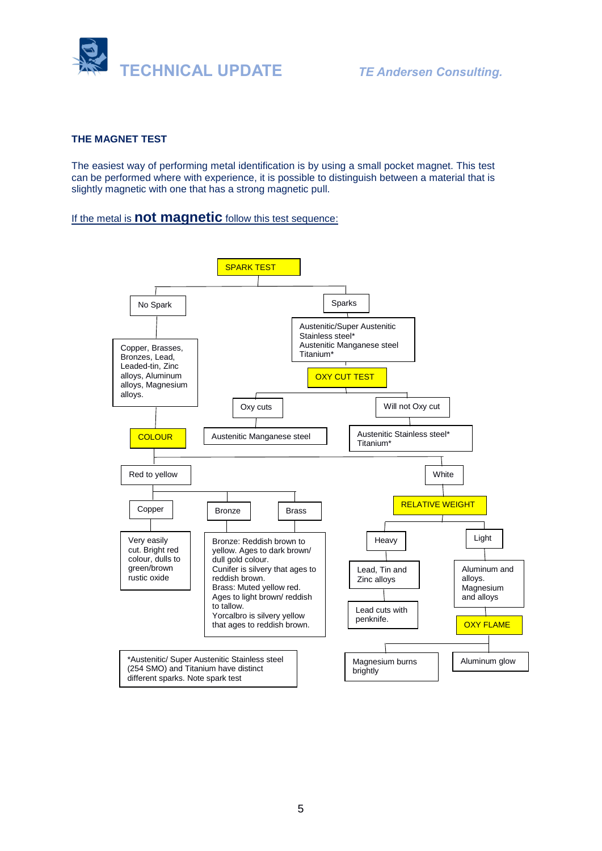

### **THE MAGNET TEST**

The easiest way of performing metal identification is by using a small pocket magnet. This test can be performed where with experience, it is possible to distinguish between a material that is slightly magnetic with one that has a strong magnetic pull.

### If the metal is **[not magnetic](https://www.weldinghandbook.com/types-of-metals/nonferrous-metals/)** follow this test sequence:

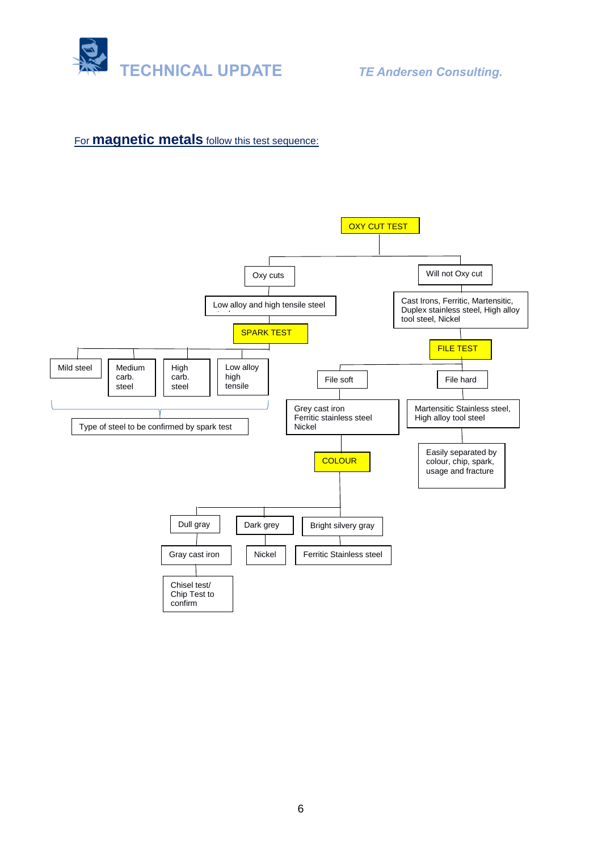

# For **[magnetic metals](https://www.weldinghandbook.com/types-of-metals/ferrous-metals/)** follow this test sequence:

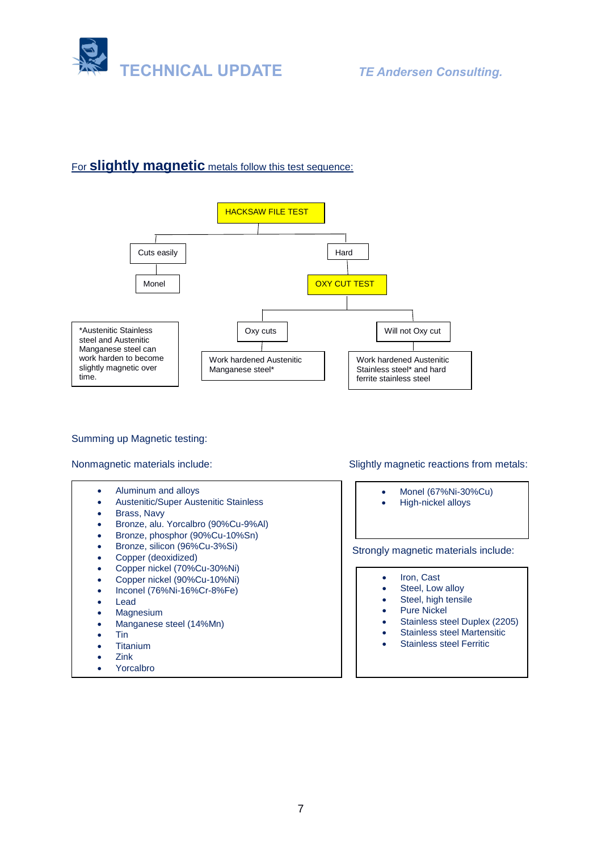

## For **slightly magnetic** metals follow this test sequence:



Summing up Magnetic testing:

- Aluminum and alloys
- Austenitic/Super Austenitic Stainless
- Brass, Navy
- Bronze, alu. Yorcalbro (90%Cu-9%Al)
- Bronze, phosphor (90%Cu-10%Sn)
- Bronze, silicon (96%Cu-3%Si)
- Copper (deoxidized)
- Copper nickel (70%Cu-30%Ni)
- Copper nickel (90%Cu-10%Ni)
- Inconel (76%Ni-16%Cr-8%Fe)
- **Lead**
- **Magnesium**
- Manganese steel (14%Mn)
- Tin
- **Titanium**
- Zink
- **Yorcalbro**

Nonmagnetic materials include: Slightly magnetic reactions from metals:

- Monel (67%Ni-30%Cu)
- High-nickel alloys

Strongly magnetic materials include:

- Iron, Cast
- Steel, Low alloy
- Steel, high tensile
- Pure Nickel
- Stainless steel Duplex (2205)
- Stainless steel Martensitic
- Stainless steel Ferritic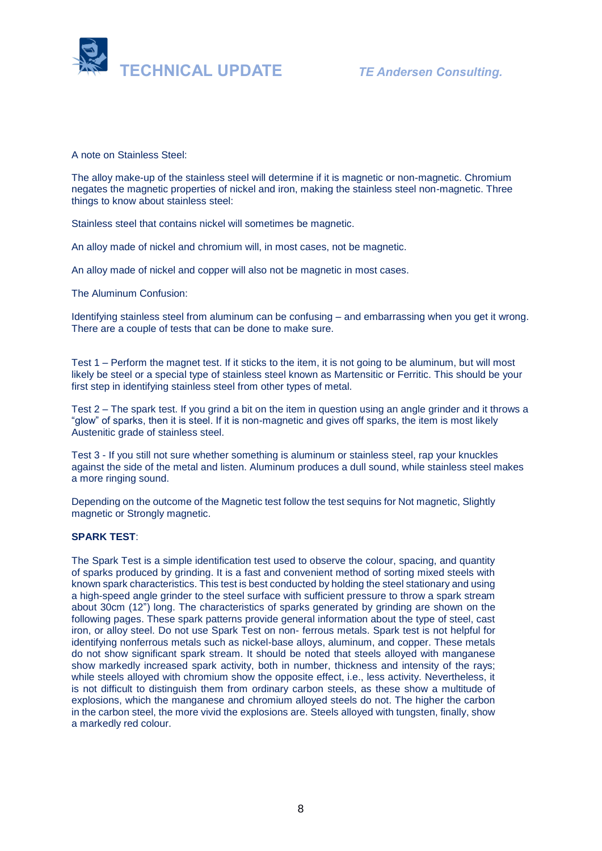

A note on Stainless Steel:

The alloy make-up of the stainless steel will determine if it is magnetic or non-magnetic. Chromium negates the magnetic properties of nickel and iron, making the stainless steel non-magnetic. Three things to know about stainless steel:

Stainless steel that contains nickel will sometimes be magnetic.

An alloy made of nickel and chromium will, in most cases, not be magnetic.

An alloy made of nickel and copper will also not be magnetic in most cases.

The Aluminum Confusion:

Identifying stainless steel from aluminum can be confusing – and embarrassing when you get it wrong. There are a couple of tests that can be done to make sure.

Test 1 – Perform the magnet test. If it sticks to the item, it is not going to be aluminum, but will most likely be steel or a special type of stainless steel known as Martensitic or Ferritic. This should be your first step in identifying stainless steel from other types of metal.

Test 2 – The spark test. If you grind a bit on the item in question using an angle grinder and it throws a "glow" of sparks, then it is steel. If it is non-magnetic and gives off sparks, the item is most likely Austenitic grade of stainless steel.

Test 3 - If you still not sure whether something is aluminum or stainless steel, rap your knuckles against the side of the metal and listen. Aluminum produces a dull sound, while stainless steel makes a more ringing sound.

Depending on the outcome of the Magnetic test follow the test sequins for Not magnetic, Slightly magnetic or Strongly magnetic.

### **SPARK TEST**:

The Spark Test is a simple identification test used to observe the colour, spacing, and quantity of sparks produced by grinding. It is a fast and convenient method of sorting mixed steels with known spark characteristics. This test is best conducted by holding the steel stationary and using a high-speed angle grinder to the steel surface with sufficient pressure to throw a spark stream about 30cm (12") long. The characteristics of sparks generated by grinding are shown on the following pages. These spark patterns provide general information about the type of steel, cast iron, or alloy steel. Do not use Spark Test on non- ferrous metals. Spark test is not helpful for identifying nonferrous metals such as nickel-base alloys, aluminum, and copper. These metals do not show significant spark stream. It should be noted that steels alloyed with manganese show markedly increased spark activity, both in number, thickness and intensity of the rays; while steels alloyed with chromium show the opposite effect, i.e., less activity. Nevertheless, it is not difficult to distinguish them from ordinary carbon steels, as these show a multitude of explosions, which the manganese and chromium alloyed steels do not. The higher the carbon in the carbon steel, the more vivid the explosions are. Steels alloyed with tungsten, finally, show a markedly red colour.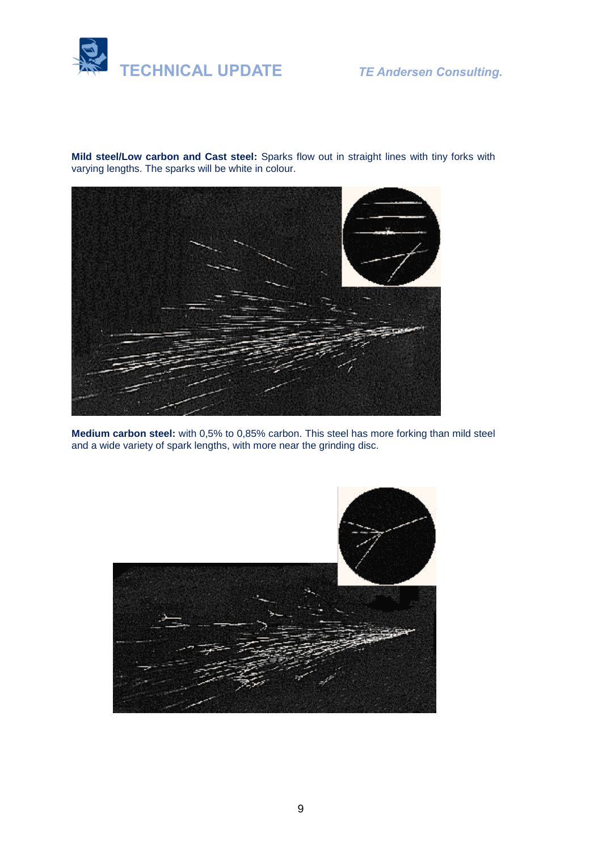

**Mild steel/Low carbon and Cast steel:** Sparks flow out in straight lines with tiny forks with varying lengths. The sparks will be white in colour.



**Medium carbon steel:** with 0,5% to 0,85% carbon. This steel has more forking than mild steel and a wide variety of spark lengths, with more near the grinding disc.

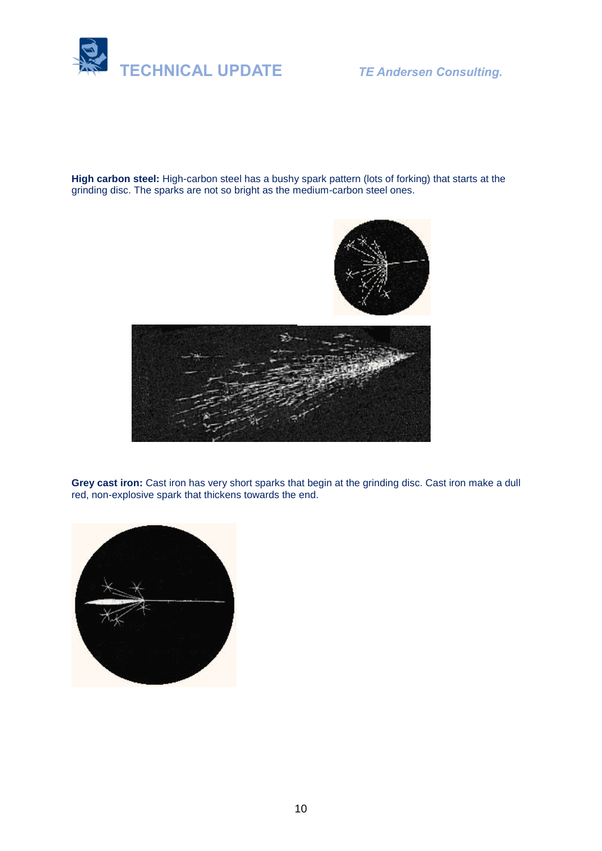

**High carbon steel:** High-carbon steel has a bushy spark pattern (lots of forking) that starts at the grinding disc. The sparks are not so bright as the medium-carbon steel ones.





**Grey cast iron:** Cast iron has very short sparks that begin at the grinding disc. Cast iron make a dull red, non-explosive spark that thickens towards the end.

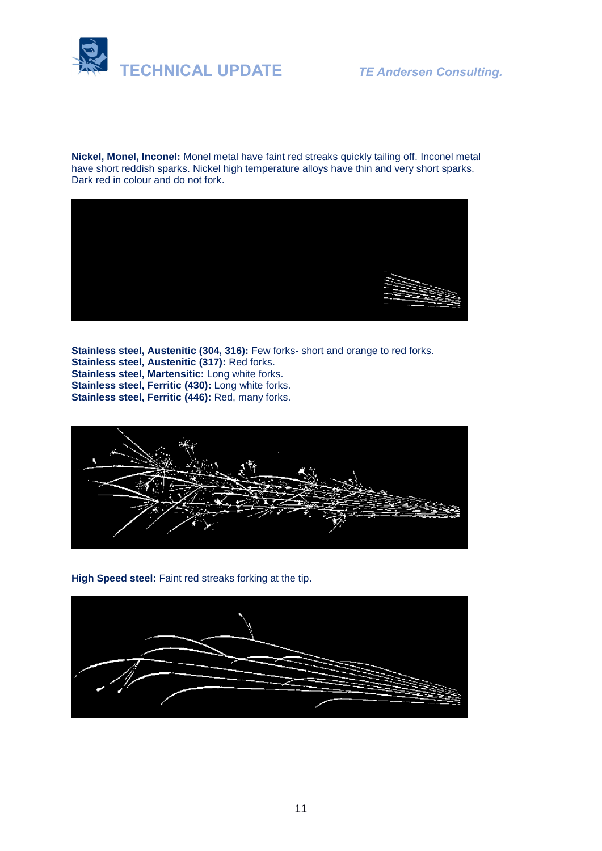

**Nickel, Monel, Inconel:** Monel metal have faint red streaks quickly tailing off. Inconel metal have short reddish sparks. Nickel high temperature alloys have thin and very short sparks. Dark red in colour and do not fork.



**Stainless steel, Austenitic (304, 316):** Few forks- short and orange to red forks. **Stainless steel, Austenitic (317):** Red forks. **Stainless steel, Martensitic:** Long white forks. **Stainless steel, Ferritic (430):** Long white forks. **Stainless steel, Ferritic (446):** Red, many forks.



**High Speed steel:** Faint red streaks forking at the tip.

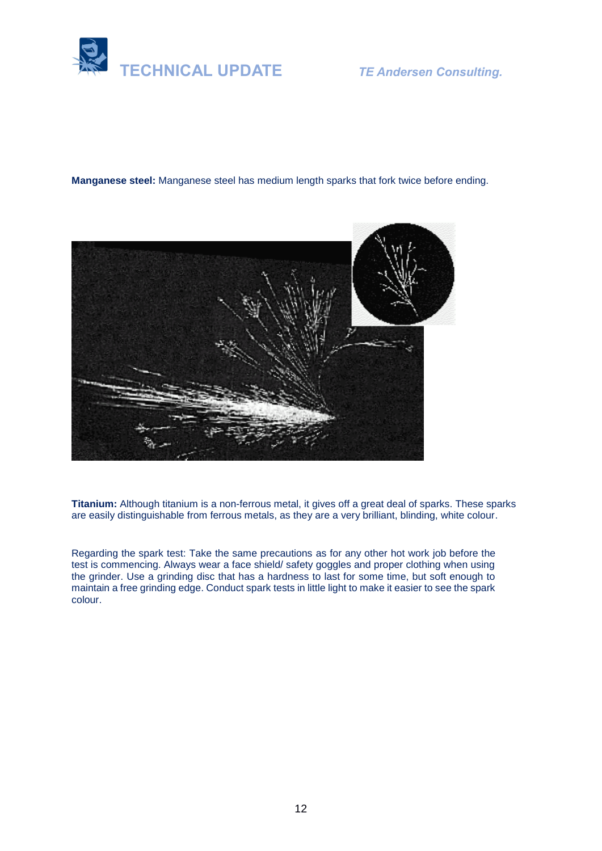

**Manganese steel:** Manganese steel has medium length sparks that fork twice before ending.



**Titanium:** Although titanium is a non-ferrous metal, it gives off a great deal of sparks. These sparks are easily distinguishable from ferrous metals, as they are a very brilliant, blinding, white colour.

Regarding the spark test: Take the same precautions as for any other hot work job before the test is commencing. Always wear a face shield/ safety goggles and proper clothing when using the grinder. Use a grinding disc that has a hardness to last for some time, but soft enough to maintain a free grinding edge. Conduct spark tests in little light to make it easier to see the spark colour.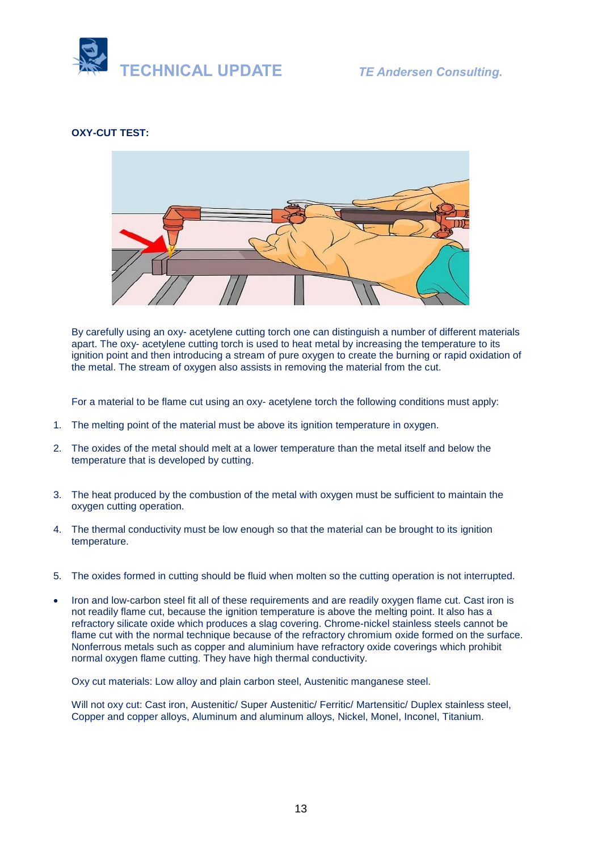

### **OXY-CUT TEST:**



By carefully using an oxy- acetylene cutting torch one can distinguish a number of different materials apart. The oxy- acetylene cutting torch is used to heat metal by increasing the temperature to its ignition point and then introducing a stream of pure oxygen to create the burning or rapid oxidation of the metal. The stream of oxygen also assists in removing the material from the cut.

For a material to be flame cut using an oxy- acetylene torch the following conditions must apply:

- 1. The melting point of the material must be above its ignition temperature in oxygen.
- 2. The oxides of the metal should melt at a lower temperature than the metal itself and below the temperature that is developed by cutting.
- 3. The heat produced by the combustion of the metal with oxygen must be sufficient to maintain the oxygen cutting operation.
- 4. The thermal conductivity must be low enough so that the material can be brought to its ignition temperature.
- 5. The oxides formed in cutting should be fluid when molten so the cutting operation is not interrupted.
- Iron and low-carbon steel fit all of these requirements and are readily oxygen flame cut. Cast iron is not readily flame cut, because the ignition temperature is above the melting point. It also has a refractory silicate oxide which produces a slag covering. Chrome-nickel stainless steels cannot be flame cut with the normal technique because of the refractory chromium oxide formed on the surface. Nonferrous metals such as copper and aluminium have refractory oxide coverings which prohibit normal oxygen flame cutting. They have high thermal conductivity.

Oxy cut materials: Low alloy and plain carbon steel, Austenitic manganese steel.

Will not oxy cut: Cast iron, Austenitic/ Super Austenitic/ Ferritic/ Martensitic/ Duplex stainless steel, Copper and copper alloys, Aluminum and aluminum alloys, Nickel, Monel, Inconel, Titanium.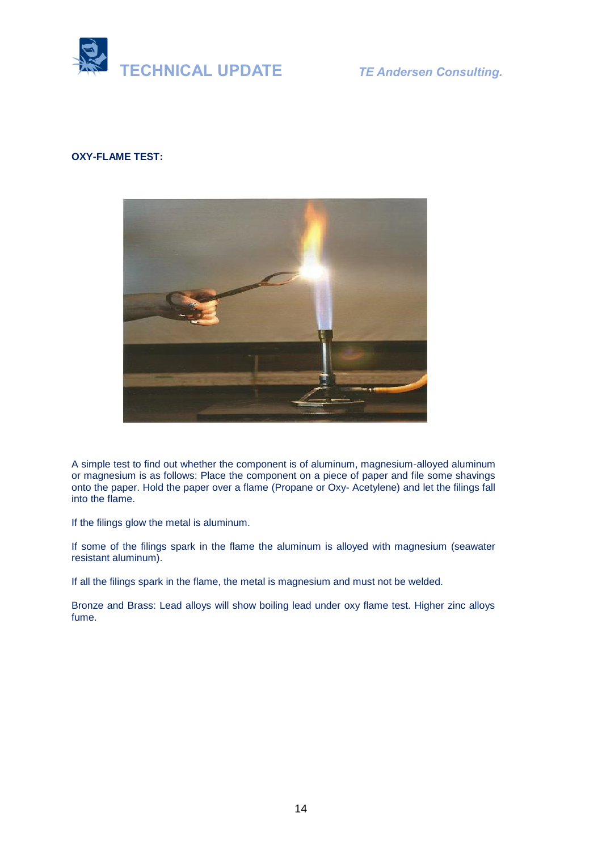

### **OXY-FLAME TEST:**



A simple test to find out whether the component is of aluminum, magnesium-alloyed aluminum or magnesium is as follows: Place the component on a piece of paper and file some shavings onto the paper. Hold the paper over a flame (Propane or Oxy- Acetylene) and let the filings fall into the flame.

If the filings glow the metal is aluminum.

If some of the filings spark in the flame the aluminum is alloyed with magnesium (seawater resistant aluminum).

If all the filings spark in the flame, the metal is magnesium and must not be welded.

Bronze and Brass: Lead alloys will show boiling lead under oxy flame test. Higher zinc alloys fume.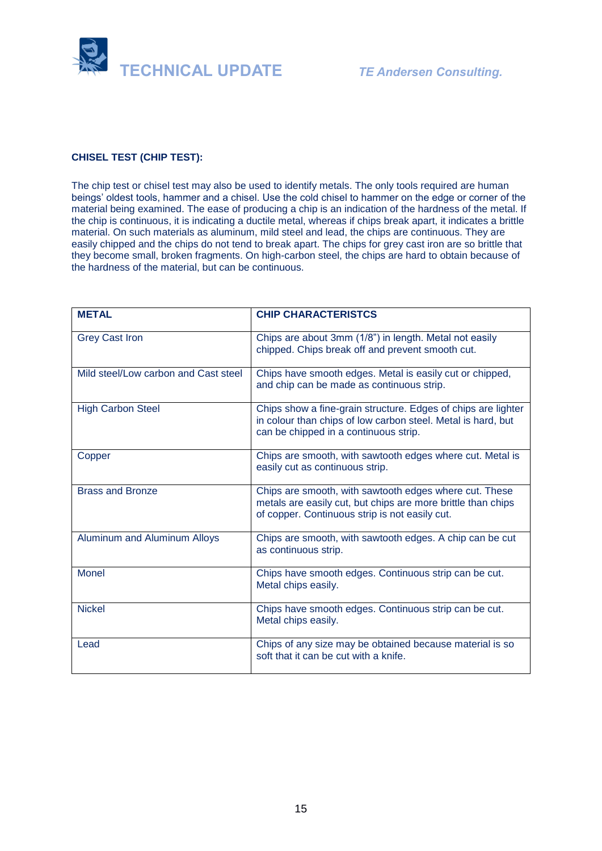

### **CHISEL TEST (CHIP TEST):**

The chip test or chisel test may also be used to identify metals. The only tools required are human beings' oldest tools, hammer and a chisel. Use the cold chisel to hammer on the edge or corner of the material being examined. The ease of producing a chip is an indication of the hardness of the metal. If the chip is continuous, it is indicating a ductile metal, whereas if chips break apart, it indicates a brittle material. On such materials as aluminum, mild steel and lead, the chips are continuous. They are easily chipped and the chips do not tend to break apart. The chips for grey cast iron are so brittle that they become small, broken fragments. On high-carbon steel, the chips are hard to obtain because of the hardness of the material, but can be continuous.

| <b>METAL</b>                         | <b>CHIP CHARACTERISTCS</b>                                                                                                                                               |
|--------------------------------------|--------------------------------------------------------------------------------------------------------------------------------------------------------------------------|
| <b>Grey Cast Iron</b>                | Chips are about 3mm (1/8") in length. Metal not easily<br>chipped. Chips break off and prevent smooth cut.                                                               |
| Mild steel/Low carbon and Cast steel | Chips have smooth edges. Metal is easily cut or chipped,<br>and chip can be made as continuous strip.                                                                    |
| <b>High Carbon Steel</b>             | Chips show a fine-grain structure. Edges of chips are lighter<br>in colour than chips of low carbon steel. Metal is hard, but<br>can be chipped in a continuous strip.   |
| Copper                               | Chips are smooth, with sawtooth edges where cut. Metal is<br>easily cut as continuous strip.                                                                             |
| <b>Brass and Bronze</b>              | Chips are smooth, with sawtooth edges where cut. These<br>metals are easily cut, but chips are more brittle than chips<br>of copper. Continuous strip is not easily cut. |
| Aluminum and Aluminum Alloys         | Chips are smooth, with sawtooth edges. A chip can be cut<br>as continuous strip.                                                                                         |
| <b>Monel</b>                         | Chips have smooth edges. Continuous strip can be cut.<br>Metal chips easily.                                                                                             |
| <b>Nickel</b>                        | Chips have smooth edges. Continuous strip can be cut.<br>Metal chips easily.                                                                                             |
| Lead                                 | Chips of any size may be obtained because material is so<br>soft that it can be cut with a knife.                                                                        |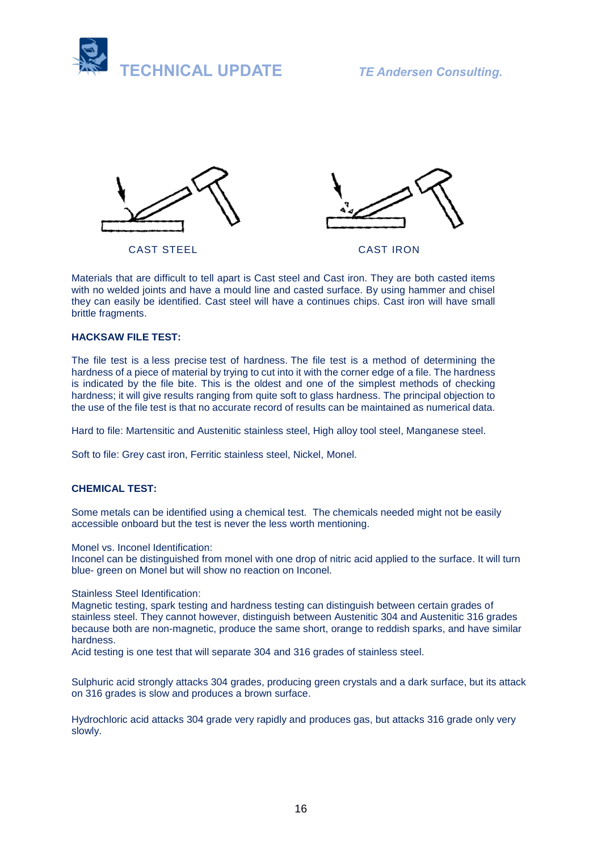



CAST STEEL CAST IRON



Materials that are difficult to tell apart is Cast steel and Cast iron. They are both casted items with no welded joints and have a mould line and casted surface. By using hammer and chisel they can easily be identified. Cast steel will have a continues chips. Cast iron will have small brittle fragments.

### **HACKSAW FILE TEST:**

The file test is a less precise test of hardness. The file test is a method of determining the hardness of a piece of material by trying to cut into it with the corner edge of a file. The hardness is indicated by the file bite. This is the oldest and one of the simplest methods of checking hardness; it will give results ranging from quite soft to glass hardness. The principal objection to the use of the file test is that no accurate record of results can be maintained as numerical data.

Hard to file: Martensitic and Austenitic stainless steel, High alloy tool steel, Manganese steel.

Soft to file: Grey cast iron, Ferritic stainless steel, Nickel, Monel.

### **CHEMICAL TEST:**

Some metals can be identified using a chemical test. The chemicals needed might not be easily accessible onboard but the test is never the less worth mentioning.

Monel vs. Inconel Identification:

Inconel can be distinguished from monel with one drop of nitric acid applied to the surface. It will turn blue- green on Monel but will show no reaction on Inconel.

### Stainless Steel Identification:

Magnetic testing, spark testing and hardness testing can distinguish between certain grades of stainless steel. They cannot however, distinguish between Austenitic 304 and Austenitic 316 grades because both are non-magnetic, produce the same short, orange to reddish sparks, and have similar hardness.

Acid testing is one test that will separate 304 and 316 grades of stainless steel.

Sulphuric acid strongly attacks 304 grades, producing green crystals and a dark surface, but its attack on 316 grades is slow and produces a brown surface.

Hydrochloric acid attacks 304 grade very rapidly and produces gas, but attacks 316 grade only very slowly.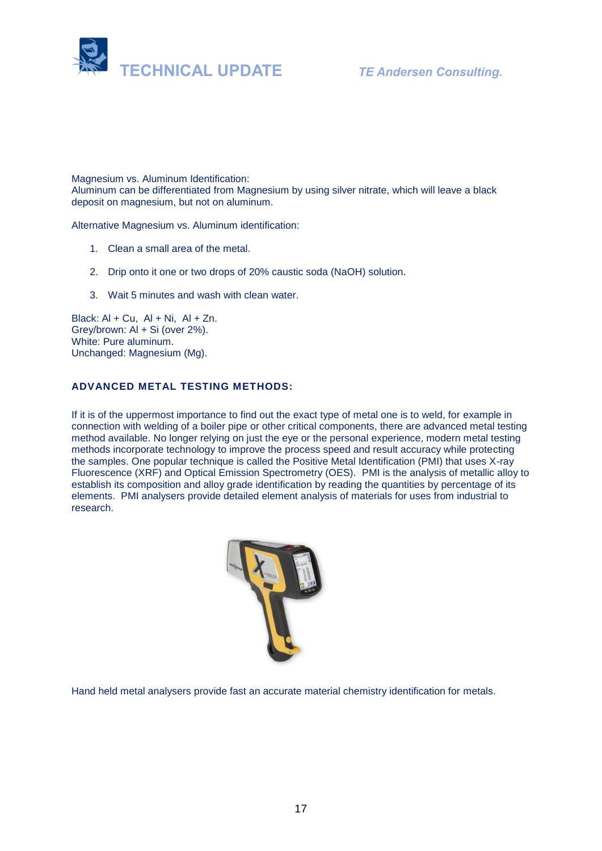

Magnesium vs. Aluminum Identification: Aluminum can be differentiated from Magnesium by using silver nitrate, which will leave a black deposit on magnesium, but not on aluminum.

Alternative Magnesium vs. Aluminum identification:

- 1. Clean a small area of the metal.
- 2. Drip onto it one or two drops of 20% caustic soda (NaOH) solution.
- 3. Wait 5 minutes and wash with clean water.

Black:  $AI + Cu$ ,  $AI + Ni$ ,  $AI + Zn$ . Grey/brown: Al + Si (over 2%). White: Pure aluminum. Unchanged: Magnesium (Mg).

### **ADVANCED METAL TESTING METHODS:**

If it is of the uppermost importance to find out the exact type of metal one is to weld, for example in connection with welding of a boiler pipe or other critical components, there are advanced metal testing method available. No longer relying on just the eye or the personal experience, modern metal testing methods incorporate technology to improve the process speed and result accuracy while protecting the samples. One popular technique is called the Positive Metal Identification (PMI) that uses X-ray Fluorescence (XRF) and Optical Emission Spectrometry (OES). PMI is the analysis of metallic alloy to establish its composition and alloy grade identification by reading the quantities by percentage of its elements. PMI analysers provide detailed element analysis of materials for uses from industrial to research.



Hand held metal analysers provide fast an accurate material chemistry identification for metals.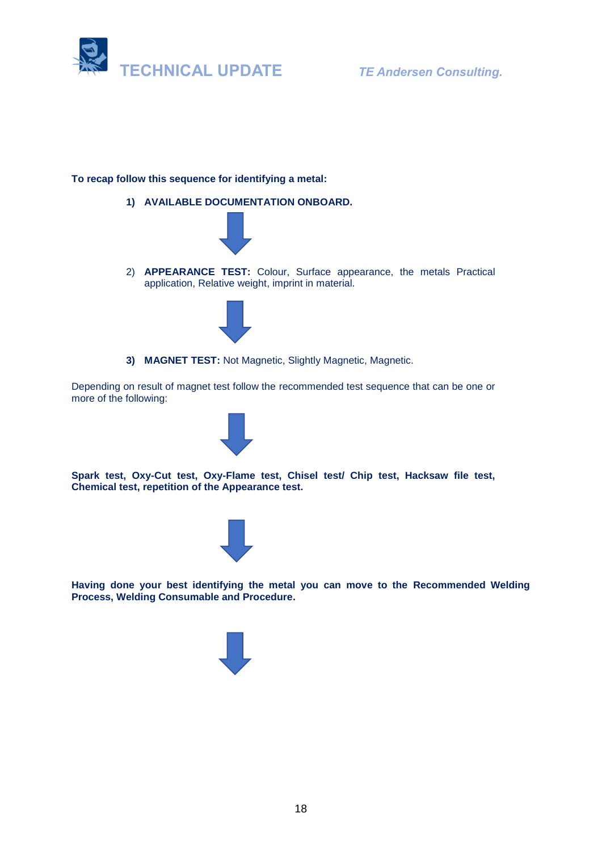

### **To recap follow this sequence for identifying a metal:**

**1) AVAILABLE DOCUMENTATION ONBOARD.**



2) **APPEARANCE TEST:** Colour, Surface appearance, the metals Practical application, Relative weight, imprint in material.



**3) MAGNET TEST:** Not Magnetic, Slightly Magnetic, Magnetic.

Depending on result of magnet test follow the recommended test sequence that can be one or more of the following:



**Spark test, Oxy-Cut test, Oxy-Flame test, Chisel test/ Chip test, Hacksaw file test, Chemical test, repetition of the Appearance test.**



**Having done your best identifying the metal you can move to the Recommended Welding Process, Welding Consumable and Procedure.**